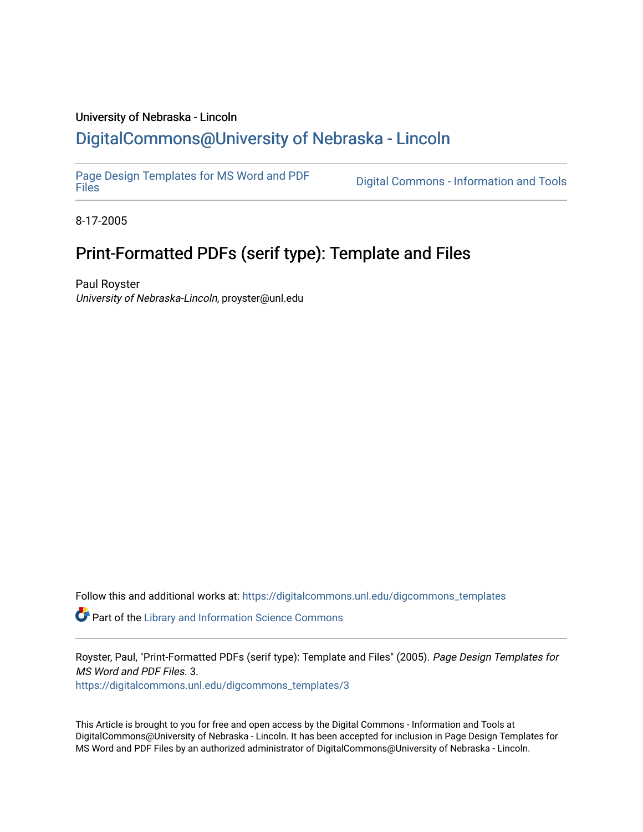#### University of Nebraska - Lincoln [DigitalCommons@University of Nebraska - Lincoln](https://digitalcommons.unl.edu/)

[Page Design Templates for MS Word and PDF](https://digitalcommons.unl.edu/digcommons_templates)

Digital Commons - Information and Tools

8-17-2005

# Print-Formatted PDFs (serif type): Template and Files

Paul Royster University of Nebraska-Lincoln, proyster@unl.edu

Follow this and additional works at: [https://digitalcommons.unl.edu/digcommons\\_templates](https://digitalcommons.unl.edu/digcommons_templates?utm_source=digitalcommons.unl.edu%2Fdigcommons_templates%2F3&utm_medium=PDF&utm_campaign=PDFCoverPages) 

**P** Part of the Library and Information Science Commons

Royster, Paul, "Print-Formatted PDFs (serif type): Template and Files" (2005). Page Design Templates for MS Word and PDF Files. 3.

[https://digitalcommons.unl.edu/digcommons\\_templates/3](https://digitalcommons.unl.edu/digcommons_templates/3?utm_source=digitalcommons.unl.edu%2Fdigcommons_templates%2F3&utm_medium=PDF&utm_campaign=PDFCoverPages) 

This Article is brought to you for free and open access by the Digital Commons - Information and Tools at DigitalCommons@University of Nebraska - Lincoln. It has been accepted for inclusion in Page Design Templates for MS Word and PDF Files by an authorized administrator of DigitalCommons@University of Nebraska - Lincoln.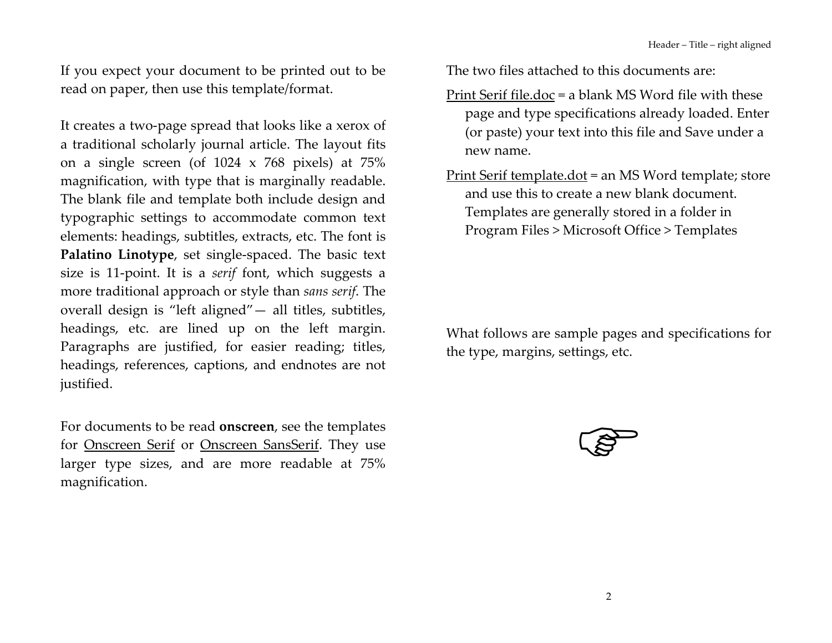If you expect your document to be printed out to be read on paper, then use this template/format.

It creates a two-page spread that looks like a xerox of a traditional scholarly journal article. The layout fits on a single screen (of  $1024 \times 768$  pixels) at  $75\%$ magnification, with type that is marginally readable. The blank file and template both include design and typographic settings to accommodate common text elements: headings, subtitles, extracts, etc. The font is Palatino Linotype, set single-spaced. The basic text size is 11-point. It is a *serif* font, which suggests a more traditional approach or style than sans serif. The overall design is "left aligned" - all titles, subtitles, headings, etc. are lined up on the left margin. Paragraphs are justified, for easier reading; titles, headings, references, captions, and endnotes are not justified.

For documents to be read **onscreen**, see the templates for Onscreen Serif or Onscreen SansSerif. They use larger type sizes, and are more readable at 75% magnification.

The two files attached to this documents are:

- Print Serif file.doc = a blank MS Word file with these page and type specifications already loaded. Enter (or paste) your text into this file and Save under a new name.
- Print Serif template.dot = an MS Word template; store and use this to create a new blank document. Templates are generally stored in a folder in Program Files > Microsoft Office > Templates

What follows are sample pages and specifications for the type, margins, settings, etc.

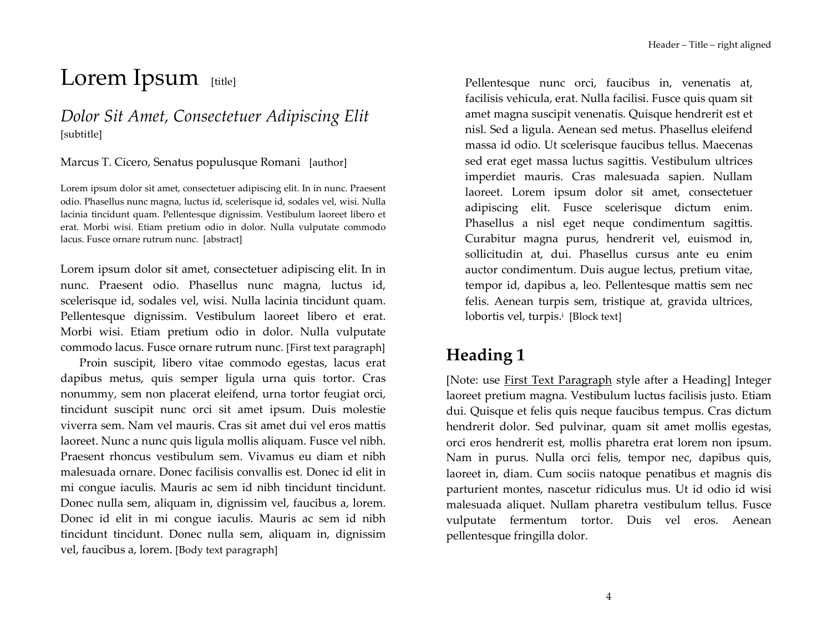# Lorem Ipsum [title]

#### Dolor Sit Amet, Consectetuer Adipiscing Elit [subtitle]

Marcus T. Cicero, Senatus populusque Romani [author]

Lorem ipsum dolor sit amet, consectetuer adipiscing elit. In in nunc. Praesent odio. Phasellus nunc magna, luctus id, scelerisque id, sodales vel, wisi. Nulla lacinia tincidunt quam. Pellentesque dignissim. Vestibulum laoreet libero et erat. Morbi wisi. Etiam pretium odio in dolor. Nulla vulputate commodo lacus. Fusce ornare rutrum nunc. [abstract]

Lorem ipsum dolor sit amet, consectetuer adipiscing elit. In in nunc. Praesent odio. Phasellus nunc magna, luctus id, scelerisque id, sodales vel, wisi. Nulla lacinia tincidunt quam. Pellentesque dignissim. Vestibulum laoreet libero et erat. Morbi wisi. Etiam pretium odio in dolor. Nulla vulputate commodo lacus. Fusce ornare rutrum nunc. [First text paragraph]

Proin suscipit, libero vitae commodo egestas, lacus erat dapibus metus, quis semper ligula urna quis tortor. Cras nonummy, sem non placerat eleifend, urna tortor feugiat orci, tincidunt suscipit nunc orci sit amet ipsum. Duis molestie viverra sem. Nam vel mauris. Cras sit amet dui vel eros mattis laoreet. Nunc a nunc quis ligula mollis aliquam. Fusce vel nibh. Praesent rhoncus vestibulum sem. Vivamus eu diam et nibh malesuada ornare. Donec facilisis convallis est. Donec id elit in mi congue iaculis. Mauris ac sem id nibh tincidunt tincidunt. Donec nulla sem, aliquam in, dignissim vel, faucibus a, lorem. Donec id elit in mi congue iaculis. Mauris ac sem id nibh tincidunt tincidunt. Donec nulla sem, aliquam in, dignissim vel, faucibus a, lorem. [Body text paragraph]

Pellentesque nunc orci, faucibus in, venenatis at, facilisis vehicula, erat. Nulla facilisi. Fusce quis quam sit amet magna suscipit venenatis. Quisque hendrerit est et nisl. Sed a ligula. Aenean sed metus. Phasellus eleifend massa id odio. Ut scelerisque faucibus tellus. Maecenas sed erat eget massa luctus sagittis. Vestibulum ultrices imperdiet mauris. Cras malesuada sapien. Nullam laoreet. Lorem ipsum dolor sit amet, consectetuer adipiscing elit. Fusce scelerisque dictum enim. Phasellus a nisl eget neque condimentum sagittis. Curabitur magna purus, hendrerit vel, euismod in, sollicitudin at, dui. Phasellus cursus ante eu enim auctor condimentum. Duis augue lectus, pretium vitae, tempor id, dapibus a, leo. Pellentesque mattis sem nec felis. Aenean turpis sem, tristique at, gravida ultrices, lobortis vel, turpis.<sup>i</sup> [Block text]

# Heading 1

[Note: use First Text Paragraph style after a Heading] Integer laoreet pretium magna. Vestibulum luctus facilisis justo. Etiam dui. Quisque et felis quis neque faucibus tempus. Cras dictum hendrerit dolor. Sed pulvinar, quam sit amet mollis egestas, orci eros hendrerit est, mollis pharetra erat lorem non ipsum. Nam in purus. Nulla orci felis, tempor nec, dapibus quis, laoreet in, diam. Cum sociis natoque penatibus et magnis dis parturient montes, nascetur ridiculus mus. Ut id odio id wisi malesuada aliquet. Nullam pharetra vestibulum tellus. Fusce vulputate fermentum tortor. Duis vel eros. Aenean pellentesque fringilla dolor.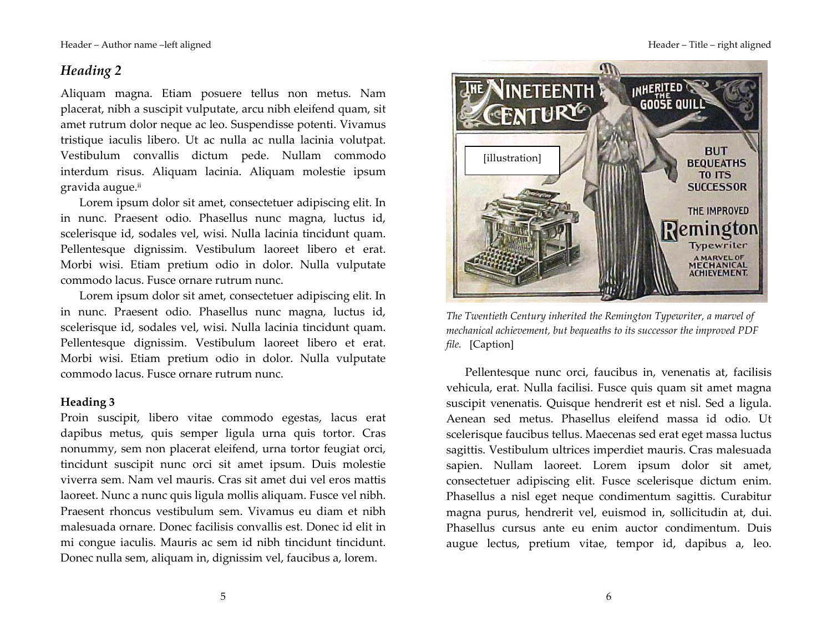Header - Author name -left aligned

#### Heading 2

Aliquam magna. Etiam posuere tellus non metus. Nam placerat, nibh a suscipit vulputate, arcu nibh eleifend quam, sit amet rutrum dolor neque ac leo. Suspendisse potenti. Vivamus tristique iaculis libero. Ut ac nulla ac nulla lacinia volutpat. Vestibulum convallis dictum pede. Nullam commodo interdum risus. Aliquam lacinia. Aliquam molestie ipsum gravida augue.ii

Lorem ipsum dolor sit amet, consectetuer adipiscing elit. In in nunc. Praesent odio. Phasellus nunc magna, luctus id, scelerisque id, sodales vel, wisi. Nulla lacinia tincidunt quam. Pellentesque dignissim. Vestibulum laoreet libero et erat. Morbi wisi. Etiam pretium odio in dolor. Nulla vulputate commodo lacus. Fusce ornare rutrum nunc.

Lorem ipsum dolor sit amet, consectetuer adipiscing elit. In in nunc. Praesent odio. Phasellus nunc magna, luctus id, scelerisque id, sodales vel, wisi. Nulla lacinia tincidunt quam. Pellentesque dignissim. Vestibulum laoreet libero et erat. Morbi wisi. Etiam pretium odio in dolor. Nulla vulputate commodo lacus. Fusce ornare rutrum nunc.

#### Heading 3

Proin suscipit, libero vitae commodo egestas, lacus erat dapibus metus, quis semper ligula urna quis tortor. Cras nonummy, sem non placerat eleifend, urna tortor feugiat orci, tincidunt suscipit nunc orci sit amet ipsum. Duis molestie viverra sem. Nam vel mauris. Cras sit amet dui vel eros mattis laoreet. Nunc a nunc quis ligula mollis aliquam. Fusce vel nibh. Praesent rhoncus vestibulum sem. Vivamus eu diam et nibh malesuada ornare. Donec facilisis convallis est. Donec id elit in mi congue iaculis. Mauris ac sem id nibh tincidunt tincidunt. Donec nulla sem, aliquam in, dignissim vel, faucibus a, lorem.



The Twentieth Century inherited the Remington Typewriter, a marvel of mechanical achievement, but bequeaths to its successor the improved PDF *file.* [Caption]

Pellentesque nunc orci, faucibus in, venenatis at, facilisis vehicula, erat. Nulla facilisi. Fusce quis quam sit amet magna suscipit venenatis. Quisque hendrerit est et nisl. Sed a ligula. Aenean sed metus. Phasellus eleifend massa id odio. Ut scelerisque faucibus tellus. Maecenas sed erat eget massa luctus sagittis. Vestibulum ultrices imperdiet mauris. Cras malesuada sapien. Nullam laoreet. Lorem ipsum dolor sit amet, consectetuer adipiscing elit. Fusce scelerisque dictum enim. Phasellus a nisl eget neque condimentum sagittis. Curabitur magna purus, hendrerit vel, euismod in, sollicitudin at, dui. Phasellus cursus ante eu enim auctor condimentum. Duis augue lectus, pretium vitae, tempor id, dapibus a, leo.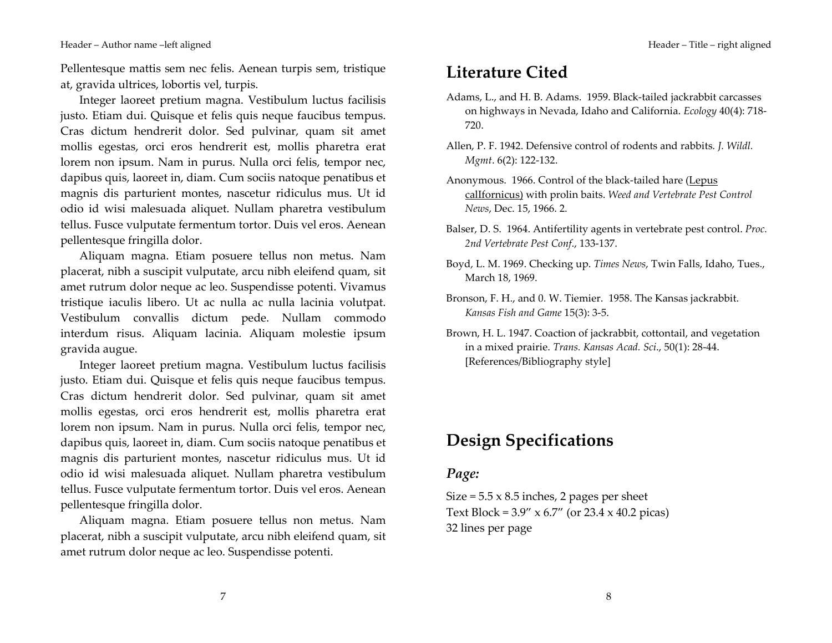Header - Author name -left aligned

Pellentesque mattis sem nec felis. Aenean turpis sem, tristique at, gravida ultrices, lobortis vel, turpis.

Integer laoreet pretium magna. Vestibulum luctus facilisis justo. Etiam dui. Quisque et felis quis neque faucibus tempus. Cras dictum hendrerit dolor. Sed pulvinar, quam sit amet mollis egestas, orci eros hendrerit est, mollis pharetra erat lorem non ipsum. Nam in purus. Nulla orci felis, tempor nec, dapibus quis, laoreet in, diam. Cum sociis natoque penatibus et magnis dis parturient montes, nascetur ridiculus mus. Ut id odio id wisi malesuada aliquet. Nullam pharetra vestibulum tellus. Fusce vulputate fermentum tortor. Duis vel eros. Aenean pellentesque fringilla dolor.

Aliquam magna. Etiam posuere tellus non metus. Nam placerat, nibh a suscipit vulputate, arcu nibh eleifend quam, sit amet rutrum dolor neque ac leo. Suspendisse potenti. Vivamus tristique iaculis libero. Ut ac nulla ac nulla lacinia volutpat. Vestibulum convallis dictum pede. Nullam commodo interdum risus. Aliquam lacinia. Aliquam molestie ipsum gravida augue.

Integer laoreet pretium magna. Vestibulum luctus facilisis justo. Etiam dui. Quisque et felis quis neque faucibus tempus. Cras dictum hendrerit dolor. Sed pulvinar, quam sit amet mollis egestas, orci eros hendrerit est, mollis pharetra erat lorem non ipsum. Nam in purus. Nulla orci felis, tempor nec, dapibus quis, laoreet in, diam. Cum sociis natoque penatibus et magnis dis parturient montes, nascetur ridiculus mus. Ut id odio id wisi malesuada aliquet. Nullam pharetra vestibulum tellus. Fusce vulputate fermentum tortor. Duis vel eros. Aenean pellentesque fringilla dolor.

Aliquam magna. Etiam posuere tellus non metus. Nam placerat, nibh a suscipit vulputate, arcu nibh eleifend quam, sit amet rutrum dolor neque ac leo. Suspendisse potenti.

### **Literature Cited**

- Adams, L., and H. B. Adams. 1959. Black-tailed jackrabbit carcasses on highways in Nevada, Idaho and California. Ecology 40(4): 718-720.
- Allen, P. F. 1942. Defensive control of rodents and rabbits. J. Wildl. *Mgmt.* 6(2): 122-132.
- Anonymous. 1966. Control of the black-tailed hare (Lepus calIfornicus) with prolin baits. Weed and Vertebrate Pest Control News, Dec. 15, 1966. 2.
- Balser, D. S. 1964. Antifertility agents in vertebrate pest control. Proc. 2nd Vertebrate Pest Conf., 133-137.
- Boyd, L. M. 1969. Checking up. Times News, Twin Falls, Idaho, Tues., March 18, 1969.
- Bronson, F. H., and 0. W. Tiemier. 1958. The Kansas jackrabbit. Kansas Fish and Game 15(3): 3-5.
- Brown, H. L. 1947. Coaction of jackrabbit, cottontail, and vegetation in a mixed prairie. Trans. Kansas Acad. Sci., 50(1): 28-44. [References/Bibliography style]

### **Design Specifications**

#### Page:

Size =  $5.5 \times 8.5$  inches, 2 pages per sheet Text Block =  $3.9''$  x 6.7" (or 23.4 x 40.2 picas) 32 lines per page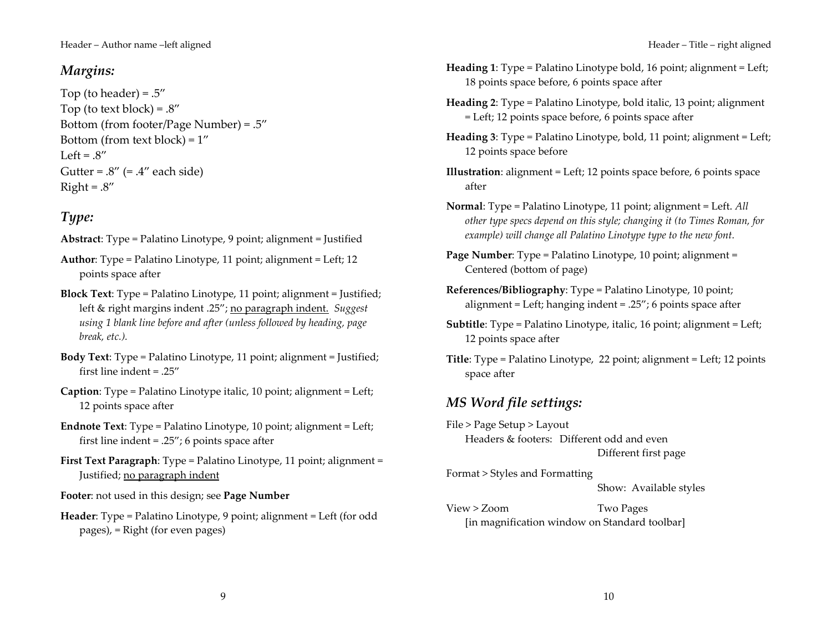#### Margins:

Top (to header) =  $.5''$ Top (to text block) =  $.8''$ Bottom (from footer/Page Number) =  $.5''$ Bottom (from text block) =  $1''$ Left =  $.8''$ Gutter =  $.8''$  (=  $.4''$  each side)  $Right = .8''$ 

#### Type:

Abstract: Type = Palatino Linotype, 9 point; alignment = Justified

- **Author:** Type = Palatino Linotype, 11 point; alignment = Left; 12 points space after
- Block Text: Type = Palatino Linotype, 11 point; alignment = Justified; left & right margins indent .25"; no paragraph indent. Suggest using 1 blank line before and after (unless followed by heading, page break, etc.).
- **Body Text:** Type = Palatino Linotype, 11 point; alignment = Justified; first line indent =  $.25''$
- **Caption:** Type = Palatino Linotype italic, 10 point; alignment = Left; 12 points space after
- **Endnote Text:** Type = Palatino Linotype, 10 point; alignment = Left; first line indent =  $.25$ "; 6 points space after
- First Text Paragraph: Type = Palatino Linotype, 11 point; alignment = Justified; no paragraph indent

Footer: not used in this design; see Page Number

Header: Type = Palatino Linotype, 9 point; alignment = Left (for odd pages), = Right (for even pages)

9

- Heading 1: Type = Palatino Linotype bold, 16 point; alignment = Left; 18 points space before, 6 points space after
- Heading 2: Type = Palatino Linotype, bold italic, 13 point; alignment = Left; 12 points space before, 6 points space after
- **Heading 3:** Type = Palatino Linotype, bold, 11 point; alignment = Left; 12 points space before
- **Illustration**: alignment = Left; 12 points space before, 6 points space after
- Normal: Type = Palatino Linotype, 11 point; alignment = Left. All other type specs depend on this style; changing it (to Times Roman, for example) will change all Palatino Linotype type to the new font.
- Page Number: Type = Palatino Linotype, 10 point; alignment = Centered (bottom of page)
- References/Bibliography: Type = Palatino Linotype, 10 point; alignment = Left; hanging indent = .25"; 6 points space after
- **Subtitle:** Type = Palatino Linotype, italic, 16 point; alignment = Left; 12 points space after
- Title: Type = Palatino Linotype, 22 point; alignment = Left; 12 points space after

### MS Word file settings:

File > Page Setup > Layout Headers & footers: Different odd and even Different first page

Format > Styles and Formatting Show: Available styles

 $View > Zoom$ Two Pages [in magnification window on Standard toolbar]